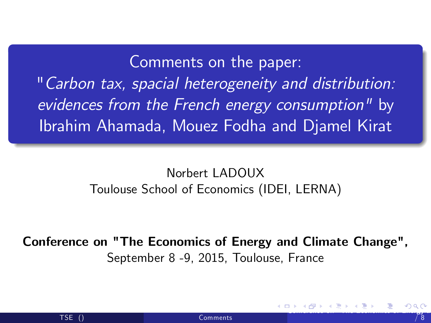Comments on the paper:

"Carbon tax, spacial heterogeneity and distribution: evidences from the French energy consumption" by Ibrahim Ahamada, Mouez Fodha and Djamel Kirat

## <span id="page-0-0"></span>Norbert LADOUX Toulouse School of Economics (IDEI, LERNA)

Conference on "The Economics of Energy and Climate Change", September 8 -9, 2015, Toulouse, France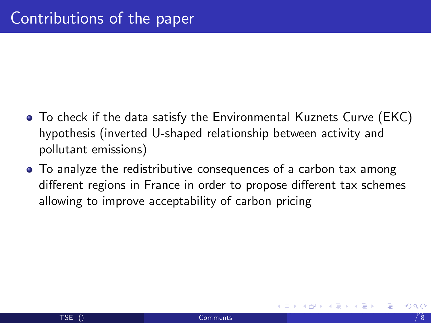- To check if the data satisfy the Environmental Kuznets Curve (EKC) hypothesis (inverted U-shaped relationship between activity and pollutant emissions)
- <span id="page-1-0"></span>• To analyze the redistributive consequences of a carbon tax among different regions in France in order to propose different tax schemes allowing to improve acceptability of carbon pricing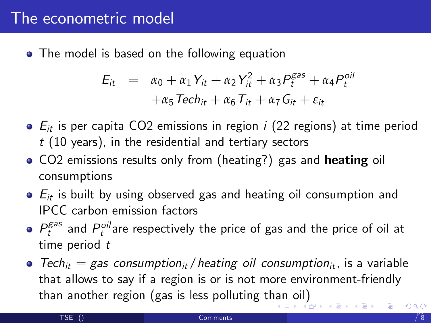## The econometric model

• The model is based on the following equation

$$
E_{it} = \alpha_0 + \alpha_1 Y_{it} + \alpha_2 Y_{it}^2 + \alpha_3 P_t^{gas} + \alpha_4 P_t^{oil}
$$
  
+  $\alpha_5$  Tech<sub>it</sub> +  $\alpha_6$  T<sub>it</sub> +  $\alpha_7$  G<sub>it</sub> +  $\varepsilon_{it}$ 

- $\bullet$   $E_{it}$  is per capita CO2 emissions in region *i* (22 regions) at time period  $t$  (10 years), in the residential and tertiary sectors
- CO2 emissions results only from (heating?) gas and heating oil consumptions
- $\bullet$   $E_{it}$  is built by using observed gas and heating oil consumption and IPCC carbon emission factors
- $P_t^{gas}$  and  $P_t^{oil}$ are respectively the price of gas and the price of oil at time period t
- <span id="page-2-0"></span> $\bullet$  Tech<sub>it</sub> = gas consumption<sub>it</sub> / heating oil consumption<sub>it</sub>, is a variable that allows to say if a region is or is not more environment-friendly t[han](#page-1-0) another region (gas is less polluting than oil)<br>Example 20 Million of the state of the state of the state of the state of the state of the state of the state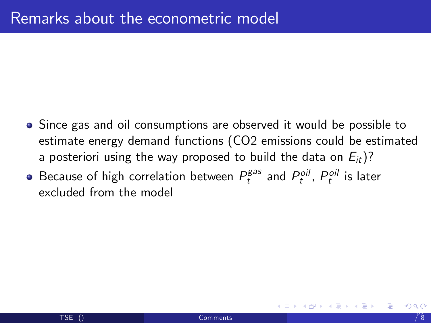- Since gas and oil consumptions are observed it would be possible to estimate energy demand functions (CO2 emissions could be estimated a posteriori using the way proposed to build the data on  $E_{it}$ )?
- <span id="page-3-0"></span>Because of high correlation between  $P_t^{gas}$  and  $P_t^{oil}$ ,  $P_t^{oil}$  is later excluded from the model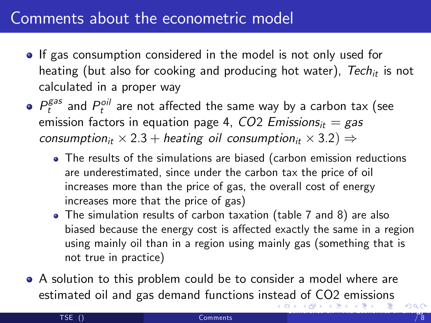## Comments about the econometric model

- **If gas consumption considered in the model is not only used for** heating (but also for cooking and producing hot water),  $Tech_{it}$  is not calculated in a proper way
- $P_t^{gas}$  and  $P_t^{oil}$  are not affected the same way by a carbon tax (see emission factors in equation page 4,  $CO2$  Emissions<sub>it</sub> = gas consumption<sub>it</sub>  $\times$  2.3  $+$  heating oil consumption<sub>it</sub>  $\times$  3.2)  $\Rightarrow$ 
	- The results of the simulations are biased (carbon emission reductions are underestimated, since under the carbon tax the price of oil increases more than the price of gas, the overall cost of energy increases more that the price of gas)
	- The simulation results of carbon taxation (table 7 and 8) are also biased because the energy cost is affected exactly the same in a region using mainly oil than in a region using mainly gas (something that is not true in practice)
- <span id="page-4-0"></span>A solution to this problem could be to consider a model where are estimated oil and gas demand functions ins[tea](#page-3-0)d of CO2 emissions<br>External state of the state of the state of the state of the state of the state of the state of the state of t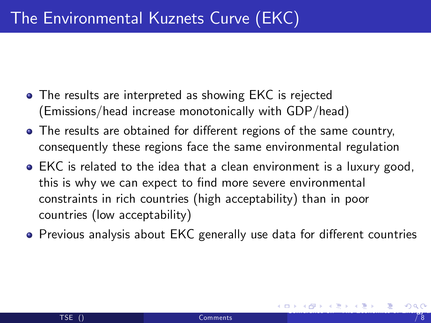- The results are interpreted as showing EKC is rejected (Emissions/head increase monotonically with GDP/head)
- The results are obtained for different regions of the same country, consequently these regions face the same environmental regulation
- EKC is related to the idea that a clean environment is a luxury good, this is why we can expect to find more severe environmental constraints in rich countries (high acceptability) than in poor countries (low acceptability)
- <span id="page-5-0"></span>• Previous analysis about EKC generally use data for different countries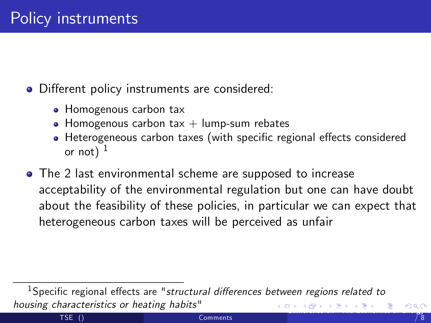- Different policy instruments are considered:
	- Homogenous carbon tax
	- Homogenous carbon tax  $+$  lump-sum rebates
	- Heterogeneous carbon taxes (with specific regional effects considered or not)  $<sup>1</sup>$ </sup>
- The 2 last environmental scheme are supposed to increase acceptability of the environmental regulation but one can have doubt about the feasibility of these policies, in particular we can expect that heterogeneous carbon taxes will be perceived as unfair

<span id="page-6-0"></span> $1$ Specific regional effects are "structural differences between regions related to housing characteristics or heating habits" [Con](#page-7-0)[fe](#page-5-0)[renc](#page-6-0)[e](#page-7-0) [on](#page-0-0) ["The](#page-7-0) [Ec](#page-0-0)[ono](#page-7-0)[mic](#page-0-0)[s of E](#page-7-0)nergy and Climate Change", September 8 -9, 2015, Toulouse, France 7